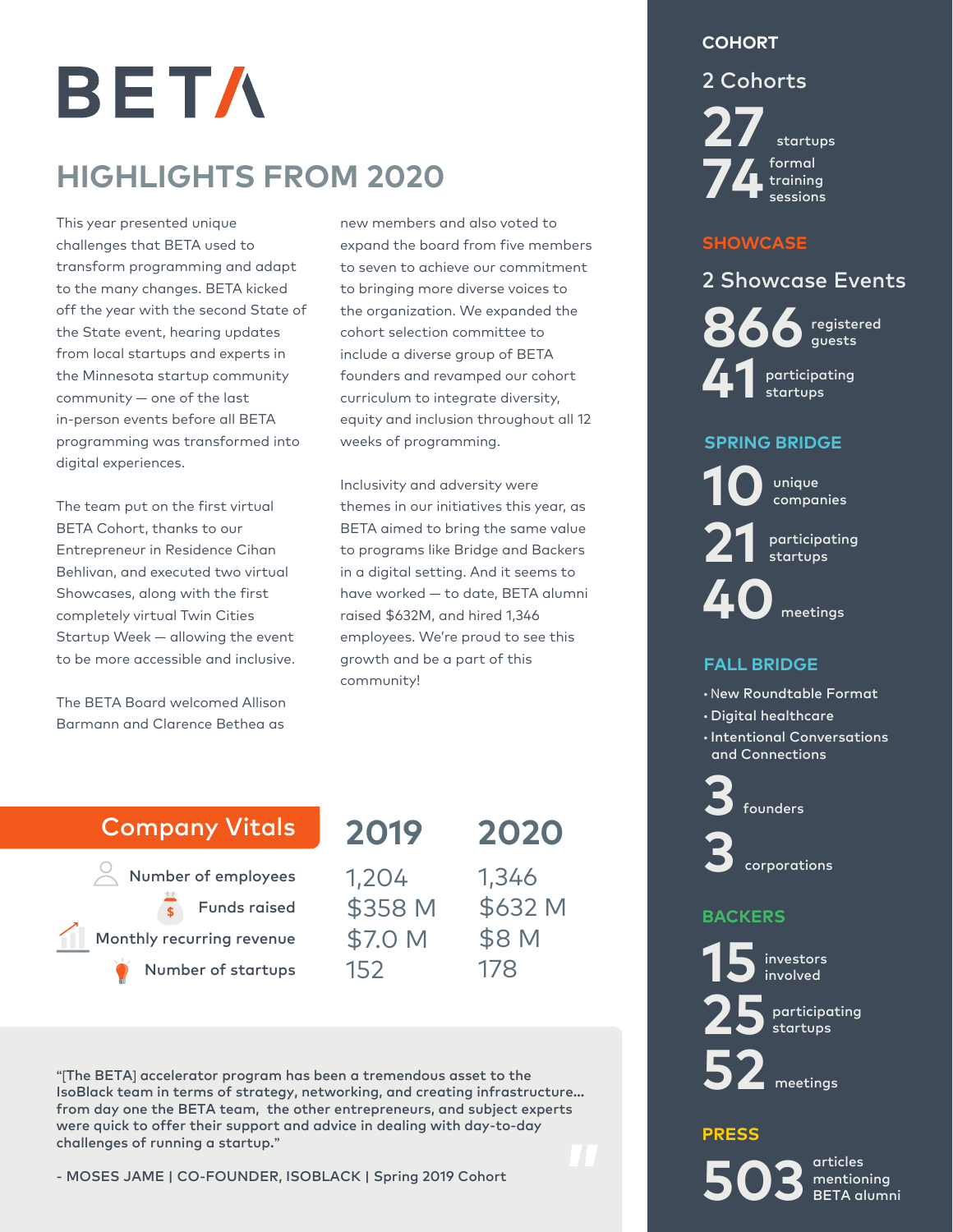### **COHORT**

2 Cohorts

BETA

# **HIGHLIGHTS FROM 2020**

This year presented unique challenges that BETA used to transform programming and adapt to the many changes. BETA kicked off the year with the second State of the State event, hearing updates from local startups and experts in the Minnesota startup community community — one of the last in-person events before all BETA programming was transformed into digital experiences.

The team put on the first virtual BETA Cohort, thanks to our Entrepreneur in Residence Cihan Behlivan, and executed two virtual Showcases, along with the first completely virtual Twin Cities Startup Week — allowing the event to be more accessible and inclusive.

The BETA Board welcomed Allison Barmann and Clarence Bethea as

new members and also voted to expand the board from five members to seven to achieve our commitment to bringing more diverse voices to the organization. We expanded the cohort selection committee to include a diverse group of BETA founders and revamped our cohort curriculum to integrate diversity, equity and inclusion throughout all 12 weeks of programming.

Inclusivity and adversity were themes in our initiatives this year, as BETA aimed to bring the same value to programs like Bridge and Backers in a digital setting. And it seems to have worked — to date, BETA alumni raised \$632M, and hired 1,346 employees. We're proud to see this growth and be a part of this community!

### Company Vitals

 $\alpha$  Number of employees Funds raised Monthly recurring revenue Number of startups

**2019 2020** 1,204 \$358 M \$7.0 M 152 1,346 \$632 M \$8 M 178

**"[**The BETA**]** accelerator program has been a tremendous asset to the IsoBlack team in terms of strategy, networking, and creating infrastructure... from day one the BETA team, the other entrepreneurs, and subject experts were quick to offer their support and advice in dealing with day-to-day challenges of running a startup.**"**

- MOSES JAME | CO-FOUNDER, ISOBLACK | Spring 2019 Cohort

**27** startups formal training **74**sessions

#### **SHOWCASE**

registered 2 Showcase Events participating **41** startups

### **SPRING BRIDGE**

unique **10**companies

participating **21** startups

**40** meetings

### **FALL BRIDGE**

- New Roundtable Format
- Digital healthcare
- Intentional Conversations and Connections

**3**founders

**3** corporations

### **BACKERS**



participating **25**startups

**52** meetings

#### **PRESS**

articles mentioning **503** BETA alumni